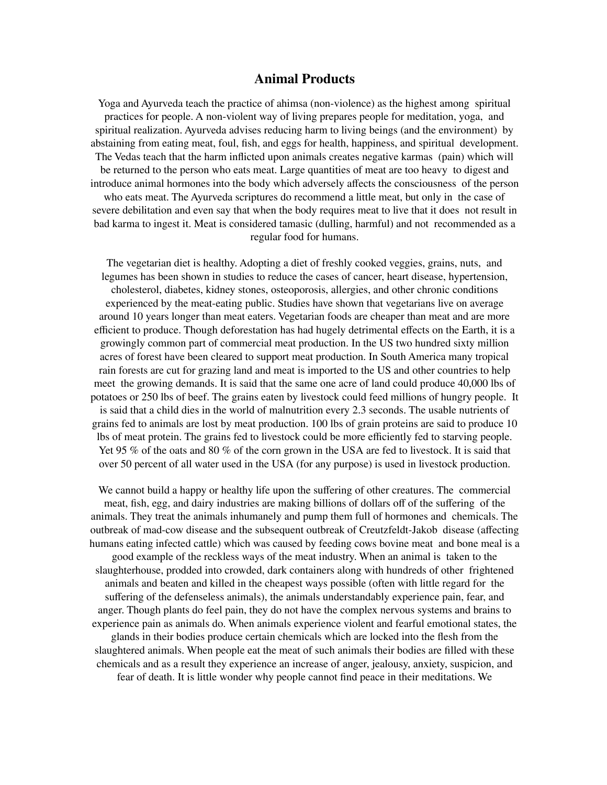## **Animal Products**

Yoga and Ayurveda teach the practice of ahimsa (non-violence) as the highest among spiritual practices for people. A non-violent way of living prepares people for meditation, yoga, and spiritual realization. Ayurveda advises reducing harm to living beings (and the environment) by abstaining from eating meat, foul, fish, and eggs for health, happiness, and spiritual development. The Vedas teach that the harm inflicted upon animals creates negative karmas (pain) which will be returned to the person who eats meat. Large quantities of meat are too heavy to digest and introduce animal hormones into the body which adversely affects the consciousness of the person who eats meat. The Ayurveda scriptures do recommend a little meat, but only in the case of severe debilitation and even say that when the body requires meat to live that it does not result in bad karma to ingest it. Meat is considered tamasic (dulling, harmful) and not recommended as a regular food for humans.

The vegetarian diet is healthy. Adopting a diet of freshly cooked veggies, grains, nuts, and legumes has been shown in studies to reduce the cases of cancer, heart disease, hypertension, cholesterol, diabetes, kidney stones, osteoporosis, allergies, and other chronic conditions experienced by the meat-eating public. Studies have shown that vegetarians live on average around 10 years longer than meat eaters. Vegetarian foods are cheaper than meat and are more efficient to produce. Though deforestation has had hugely detrimental effects on the Earth, it is a growingly common part of commercial meat production. In the US two hundred sixty million acres of forest have been cleared to support meat production. In South America many tropical rain forests are cut for grazing land and meat is imported to the US and other countries to help meet the growing demands. It is said that the same one acre of land could produce 40,000 lbs of potatoes or 250 lbs of beef. The grains eaten by livestock could feed millions of hungry people. It is said that a child dies in the world of malnutrition every 2.3 seconds. The usable nutrients of grains fed to animals are lost by meat production. 100 lbs of grain proteins are said to produce 10 lbs of meat protein. The grains fed to livestock could be more efficiently fed to starving people. Yet 95 % of the oats and 80 % of the corn grown in the USA are fed to livestock. It is said that over 50 percent of all water used in the USA (for any purpose) is used in livestock production.

We cannot build a happy or healthy life upon the suffering of other creatures. The commercial meat, fish, egg, and dairy industries are making billions of dollars off of the suffering of the animals. They treat the animals inhumanely and pump them full of hormones and chemicals. The outbreak of mad-cow disease and the subsequent outbreak of Creutzfeldt-Jakob disease (affecting humans eating infected cattle) which was caused by feeding cows bovine meat and bone meal is a good example of the reckless ways of the meat industry. When an animal is taken to the slaughterhouse, prodded into crowded, dark containers along with hundreds of other frightened animals and beaten and killed in the cheapest ways possible (often with little regard for the suffering of the defenseless animals), the animals understandably experience pain, fear, and anger. Though plants do feel pain, they do not have the complex nervous systems and brains to experience pain as animals do. When animals experience violent and fearful emotional states, the glands in their bodies produce certain chemicals which are locked into the flesh from the slaughtered animals. When people eat the meat of such animals their bodies are filled with these chemicals and as a result they experience an increase of anger, jealousy, anxiety, suspicion, and fear of death. It is little wonder why people cannot find peace in their meditations. We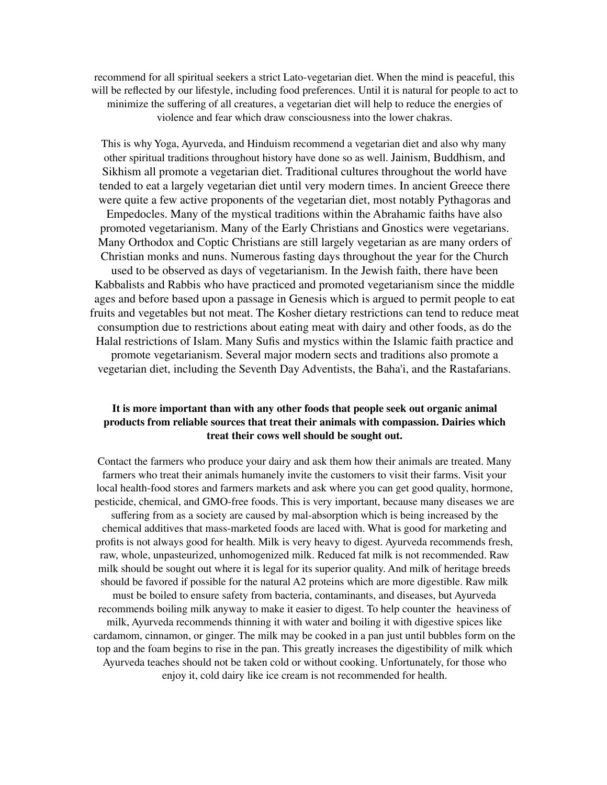recommend for all spiritual seekers a strict Lato-vegetarian diet. When the mind is peaceful, this will be reflected by our lifestyle, including food preferences. Until it is natural for people to act to minimize the suffering of all creatures, a vegetarian diet will help to reduce the energies of violence and fear which draw consciousness into the lower chakras.

This is why Yoga, Ayurveda, and Hinduism recommend a vegetarian diet and also why many other spiritual traditions throughout history have done so as well. Jainism, Buddhism, and Sikhism all promote a vegetarian diet. Traditional cultures throughout the world have tended to eat a largely vegetarian diet until very modern times. In ancient Greece there were quite a few active proponents of the vegetarian diet, most notably Pythagoras and Empedocles. Many of the mystical traditions within the Abrahamic faiths have also promoted vegetarianism. Many of the Early Christians and Gnostics were vegetarians. Many Orthodox and Coptic Christians are still largely vegetarian as are many orders of Christian monks and nuns. Numerous fasting days throughout the year for the Church used to be observed as days of vegetarianism. In the Jewish faith, there have been Kabbalists and Rabbis who have practiced and promoted vegetarianism since the middle ages and before based upon a passage in Genesis which is argued to permit people to eat fruits and vegetables but not meat. The Kosher dietary restrictions can tend to reduce meat consumption due to restrictions about eating meat with dairy and other foods, as do the Halal restrictions of Islam. Many Sufis and mystics within the Islamic faith practice and promote vegetarianism. Several major modern sects and traditions also promote a vegetarian diet, including the Seventh Day Adventists, the Baha'i, and the Rastafarians.

## **It is more important than with any other foods that people seek out organic animal products from reliable sources that treat their animals with compassion. Dairies which treat their cows well should be sought out.**

Contact the farmers who produce your dairy and ask them how their animals are treated. Many farmers who treat their animals humanely invite the customers to visit their farms. Visit your local health-food stores and farmers markets and ask where you can get good quality, hormone, pesticide, chemical, and GMO-free foods. This is very important, because many diseases we are suffering from as a society are caused by mal-absorption which is being increased by the chemical additives that mass-marketed foods are laced with. What is good for marketing and profits is not always good for health. Milk is very heavy to digest. Ayurveda recommends fresh, raw, whole, unpasteurized, unhomogenized milk. Reduced fat milk is not recommended. Raw milk should be sought out where it is legal for its superior quality. And milk of heritage breeds should be favored if possible for the natural A2 proteins which are more digestible. Raw milk must be boiled to ensure safety from bacteria, contaminants, and diseases, but Ayurveda recommends boiling milk anyway to make it easier to digest. To help counter the heaviness of milk, Ayurveda recommends thinning it with water and boiling it with digestive spices like cardamom, cinnamon, or ginger. The milk may be cooked in a pan just until bubbles form on the top and the foam begins to rise in the pan. This greatly increases the digestibility of milk which Ayurveda teaches should not be taken cold or without cooking. Unfortunately, for those who enjoy it, cold dairy like ice cream is not recommended for health.